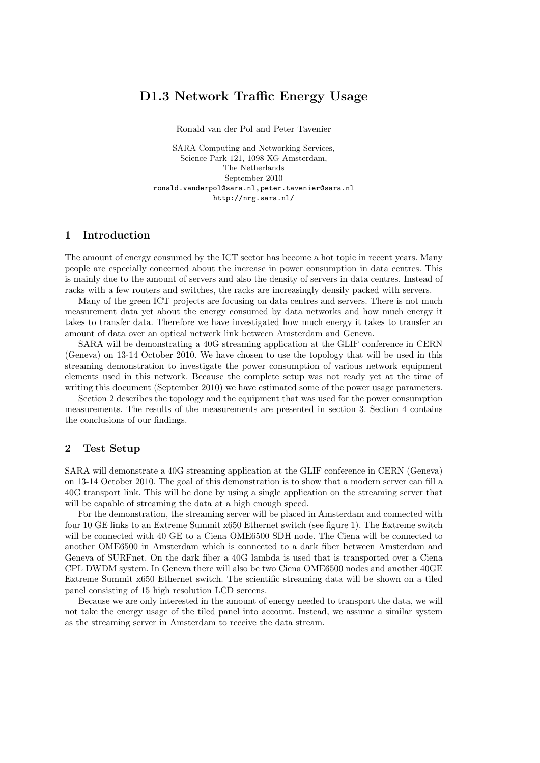# D1.3 Network Traffic Energy Usage

Ronald van der Pol and Peter Tavenier

SARA Computing and Networking Services, Science Park 121, 1098 XG Amsterdam, The Netherlands September 2010 ronald.vanderpol@sara.nl,peter.tavenier@sara.nl http://nrg.sara.nl/

### 1 Introduction

The amount of energy consumed by the ICT sector has become a hot topic in recent years. Many people are especially concerned about the increase in power consumption in data centres. This is mainly due to the amount of servers and also the density of servers in data centres. Instead of racks with a few routers and switches, the racks are increasingly densily packed with servers.

Many of the green ICT projects are focusing on data centres and servers. There is not much measurement data yet about the energy consumed by data networks and how much energy it takes to transfer data. Therefore we have investigated how much energy it takes to transfer an amount of data over an optical netwerk link between Amsterdam and Geneva.

SARA will be demonstrating a 40G streaming application at the GLIF conference in CERN (Geneva) on 13-14 October 2010. We have chosen to use the topology that will be used in this streaming demonstration to investigate the power consumption of various network equipment elements used in this network. Because the complete setup was not ready yet at the time of writing this document (September 2010) we have estimated some of the power usage parameters.

Section 2 describes the topology and the equipment that was used for the power consumption measurements. The results of the measurements are presented in section 3. Section 4 contains the conclusions of our findings.

#### 2 Test Setup

SARA will demonstrate a 40G streaming application at the GLIF conference in CERN (Geneva) on 13-14 October 2010. The goal of this demonstration is to show that a modern server can fill a 40G transport link. This will be done by using a single application on the streaming server that will be capable of streaming the data at a high enough speed.

For the demonstration, the streaming server will be placed in Amsterdam and connected with four 10 GE links to an Extreme Summit x650 Ethernet switch (see figure 1). The Extreme switch will be connected with 40 GE to a Ciena OME6500 SDH node. The Ciena will be connected to another OME6500 in Amsterdam which is connected to a dark fiber between Amsterdam and Geneva of SURFnet. On the dark fiber a 40G lambda is used that is transported over a Ciena CPL DWDM system. In Geneva there will also be two Ciena OME6500 nodes and another 40GE Extreme Summit x650 Ethernet switch. The scientific streaming data will be shown on a tiled panel consisting of 15 high resolution LCD screens.

Because we are only interested in the amount of energy needed to transport the data, we will not take the energy usage of the tiled panel into account. Instead, we assume a similar system as the streaming server in Amsterdam to receive the data stream.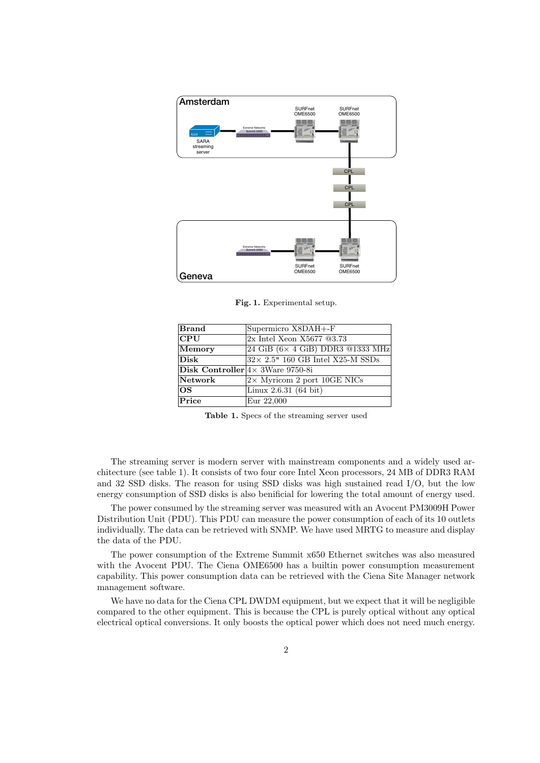

Fig. 1. Experimental setup.

| <b>Brand</b> | Supermicro X8DAH+-F                        |
|--------------|--------------------------------------------|
| <b>CPU</b>   | 2x Intel Xeon X5677 @3.73                  |
| Memory       | $24$ GiB ( $6\times$ 4 GiB) DDR3 @1333 MHz |
| <b>Disk</b>  | $32\times$ 2.5" 160 GB Intel X25-M SSDs    |
|              | Disk Controller $4 \times 3$ Ware 9750-8i  |
| Network      | $2\times$ Myricom 2 port 10GE NICs         |
| <b>OS</b>    | Linux $2.6.31(64 \text{ bit})$             |
| Price        | Eur 22,000                                 |
|              |                                            |

Table 1. Specs of the streaming server used

The streaming server is modern server with mainstream components and a widely used architecture (see table 1). It consists of two four core Intel Xeon processors, 24 MB of DDR3 RAM and 32 SSD disks. The reason for using SSD disks was high sustained read I/O, but the low energy consumption of SSD disks is also benificial for lowering the total amount of energy used.

The power consumed by the streaming server was measured with an Avocent PM3009H Power Distribution Unit (PDU). This PDU can measure the power consumption of each of its 10 outlets individually. The data can be retrieved with SNMP. We have used MRTG to measure and display the data of the PDU.

The power consumption of the Extreme Summit x650 Ethernet switches was also measured with the Avocent PDU. The Ciena OME6500 has a builtin power consumption measurement capability. This power consumption data can be retrieved with the Ciena Site Manager network management software.

We have no data for the Ciena CPL DWDM equipment, but we expect that it will be negligible compared to the other equipment. This is because the CPL is purely optical without any optical electrical optical conversions. It only boosts the optical power which does not need much energy.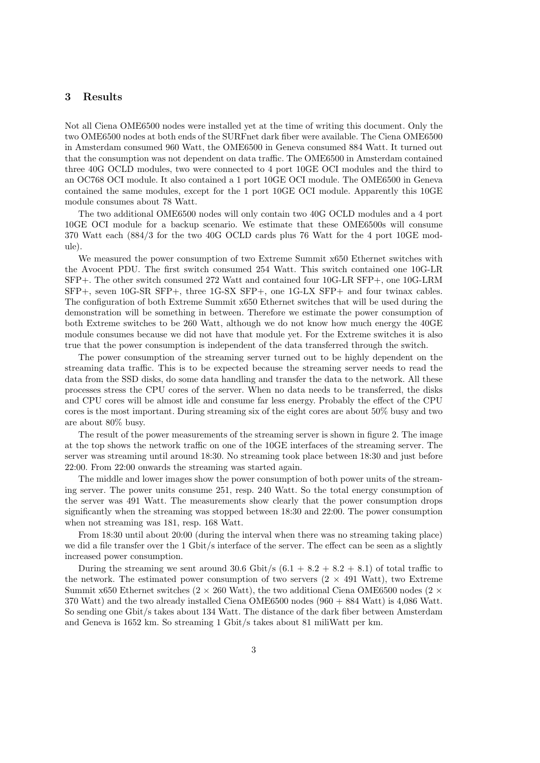#### 3 Results

Not all Ciena OME6500 nodes were installed yet at the time of writing this document. Only the two OME6500 nodes at both ends of the SURFnet dark fiber were available. The Ciena OME6500 in Amsterdam consumed 960 Watt, the OME6500 in Geneva consumed 884 Watt. It turned out that the consumption was not dependent on data traffic. The OME6500 in Amsterdam contained three 40G OCLD modules, two were connected to 4 port 10GE OCI modules and the third to an OC768 OCI module. It also contained a 1 port 10GE OCI module. The OME6500 in Geneva contained the same modules, except for the 1 port 10GE OCI module. Apparently this 10GE module consumes about 78 Watt.

The two additional OME6500 nodes will only contain two 40G OCLD modules and a 4 port 10GE OCI module for a backup scenario. We estimate that these OME6500s will consume 370 Watt each (884/3 for the two 40G OCLD cards plus 76 Watt for the 4 port 10GE module).

We measured the power consumption of two Extreme Summit x650 Ethernet switches with the Avocent PDU. The first switch consumed 254 Watt. This switch contained one 10G-LR SFP+. The other switch consumed 272 Watt and contained four 10G-LR SFP+, one 10G-LRM SFP+, seven 10G-SR SFP+, three 1G-SX SFP+, one 1G-LX SFP+ and four twinax cables. The configuration of both Extreme Summit x650 Ethernet switches that will be used during the demonstration will be something in between. Therefore we estimate the power consumption of both Extreme switches to be 260 Watt, although we do not know how much energy the 40GE module consumes because we did not have that module yet. For the Extreme switches it is also true that the power consumption is independent of the data transferred through the switch.

The power consumption of the streaming server turned out to be highly dependent on the streaming data traffic. This is to be expected because the streaming server needs to read the data from the SSD disks, do some data handling and transfer the data to the network. All these processes stress the CPU cores of the server. When no data needs to be transferred, the disks and CPU cores will be almost idle and consume far less energy. Probably the effect of the CPU cores is the most important. During streaming six of the eight cores are about 50% busy and two are about 80% busy.

The result of the power measurements of the streaming server is shown in figure 2. The image at the top shows the network traffic on one of the 10GE interfaces of the streaming server. The server was streaming until around 18:30. No streaming took place between 18:30 and just before 22:00. From 22:00 onwards the streaming was started again.

The middle and lower images show the power consumption of both power units of the streaming server. The power units consume 251, resp. 240 Watt. So the total energy consumption of the server was 491 Watt. The measurements show clearly that the power consumption drops significantly when the streaming was stopped between 18:30 and 22:00. The power consumption when not streaming was 181, resp. 168 Watt.

From 18:30 until about 20:00 (during the interval when there was no streaming taking place) we did a file transfer over the 1 Gbit/s interface of the server. The effect can be seen as a slightly increased power consumption.

During the streaming we sent around 30.6 Gbit/s  $(6.1 + 8.2 + 8.2 + 8.1)$  of total traffic to the network. The estimated power consumption of two servers  $(2 \times 491 \text{ Watt})$ , two Extreme Summit x650 Ethernet switches ( $2 \times 260$  Watt), the two additional Ciena OME6500 nodes ( $2 \times$ 370 Watt) and the two already installed Ciena OME6500 nodes (960 + 884 Watt) is 4,086 Watt. So sending one Gbit/s takes about 134 Watt. The distance of the dark fiber between Amsterdam and Geneva is 1652 km. So streaming 1 Gbit/s takes about 81 miliWatt per km.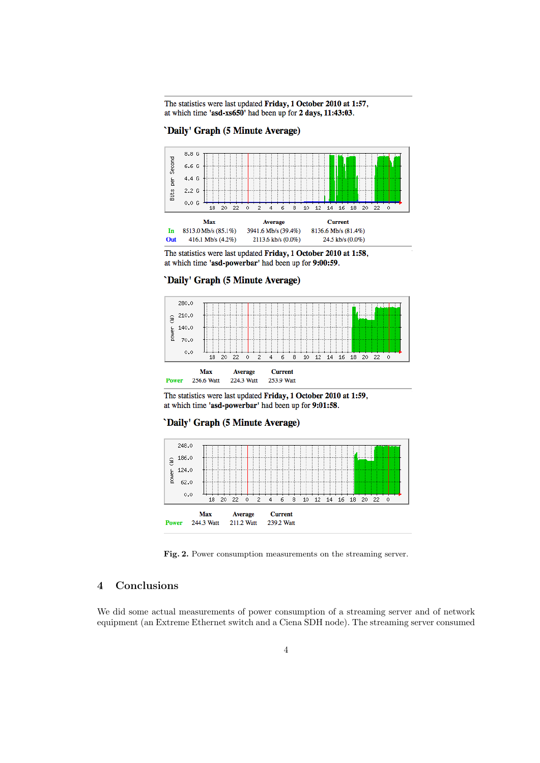The statistics were last updated Friday, 1 October 2010 at 1:57, at which time 'asd-xs650' had been up for 2 days, 11:43:03.

'Daily' Graph (5 Minute Average)



The statistics were last updated Friday, 1 October 2010 at 1:58, at which time 'asd-powerbar' had been up for 9:00:59.





The statistics were last updated Friday, 1 October 2010 at 1:59, at which time 'asd-powerbar' had been up for 9:01:58.

#### 'Daily' Graph (5 Minute Average)



Fig. 2. Power consumption measurements on the streaming server.

## 4 Conclusions

We did some actual measurements of power consumption of a streaming server and of network equipment (an Extreme Ethernet switch and a Ciena SDH node). The streaming server consumed